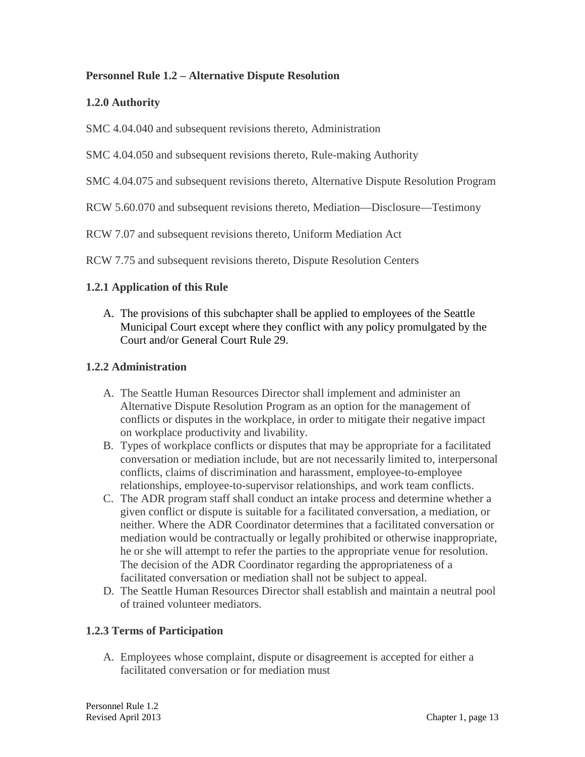## **Personnel Rule 1.2 – Alternative Dispute Resolution**

## **1.2.0 Authority**

SMC 4.04.040 and subsequent revisions thereto, Administration

SMC 4.04.050 and subsequent revisions thereto, Rule-making Authority

SMC 4.04.075 and subsequent revisions thereto, Alternative Dispute Resolution Program

RCW 5.60.070 and subsequent revisions thereto, Mediation—Disclosure—Testimony

RCW 7.07 and subsequent revisions thereto, Uniform Mediation Act

RCW 7.75 and subsequent revisions thereto, Dispute Resolution Centers

## **1.2.1 Application of this Rule**

A. The provisions of this subchapter shall be applied to employees of the Seattle Municipal Court except where they conflict with any policy promulgated by the Court and/or General Court Rule 29.

#### **1.2.2 Administration**

- A. The Seattle Human Resources Director shall implement and administer an Alternative Dispute Resolution Program as an option for the management of conflicts or disputes in the workplace, in order to mitigate their negative impact on workplace productivity and livability.
- B. Types of workplace conflicts or disputes that may be appropriate for a facilitated conversation or mediation include, but are not necessarily limited to, interpersonal conflicts, claims of discrimination and harassment, employee-to-employee relationships, employee-to-supervisor relationships, and work team conflicts.
- C. The ADR program staff shall conduct an intake process and determine whether a given conflict or dispute is suitable for a facilitated conversation, a mediation, or neither. Where the ADR Coordinator determines that a facilitated conversation or mediation would be contractually or legally prohibited or otherwise inappropriate, he or she will attempt to refer the parties to the appropriate venue for resolution. The decision of the ADR Coordinator regarding the appropriateness of a facilitated conversation or mediation shall not be subject to appeal.
- D. The Seattle Human Resources Director shall establish and maintain a neutral pool of trained volunteer mediators.

# **1.2.3 Terms of Participation**

A. Employees whose complaint, dispute or disagreement is accepted for either a facilitated conversation or for mediation must